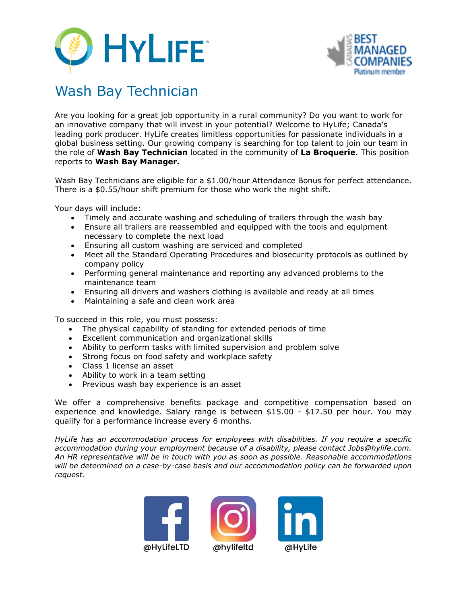



## Wash Bay Technician

Are you looking for a great job opportunity in a rural community? Do you want to work for an innovative company that will invest in your potential? Welcome to HyLife; Canada's leading pork producer. HyLife creates limitless opportunities for passionate individuals in a global business setting. Our growing company is searching for top talent to join our team in the role of **Wash Bay Technician** located in the community of **La Broquerie**. This position reports to **Wash Bay Manager.**

Wash Bay Technicians are eligible for a \$1.00/hour Attendance Bonus for perfect attendance. There is a \$0.55/hour shift premium for those who work the night shift.

Your days will include:

- Timely and accurate washing and scheduling of trailers through the wash bay
- Ensure all trailers are reassembled and equipped with the tools and equipment necessary to complete the next load
- Ensuring all custom washing are serviced and completed
- Meet all the Standard Operating Procedures and biosecurity protocols as outlined by company policy
- Performing general maintenance and reporting any advanced problems to the maintenance team
- Ensuring all drivers and washers clothing is available and ready at all times
- Maintaining a safe and clean work area

To succeed in this role, you must possess:

- The physical capability of standing for extended periods of time
- Excellent communication and organizational skills
- Ability to perform tasks with limited supervision and problem solve
- Strong focus on food safety and workplace safety
- Class 1 license an asset
- Ability to work in a team setting
- Previous wash bay experience is an asset

We offer a comprehensive benefits package and competitive compensation based on experience and knowledge. Salary range is between \$15.00 - \$17.50 per hour. You may qualify for a performance increase every 6 months.

*HyLife has an accommodation process for employees with disabilities. If you require a specific accommodation during your employment because of a disability, please contact Jobs@hylife.com. An HR representative will be in touch with you as soon as possible. Reasonable accommodations will be determined on a case-by-case basis and our accommodation policy can be forwarded upon request.*